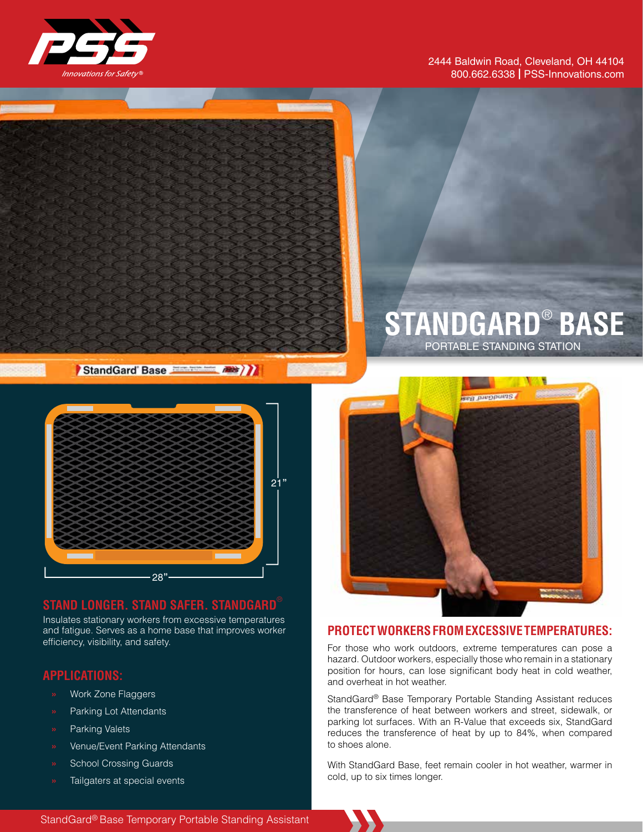

#### 2444 Baldwin Road, Cleveland, OH 44104 800.662.6338 | PSS-Innovations.com

# PORTABLE STANDING STATION **STANDGARD**® **BASE**

StandGard Base



## **STAND LONGER. STAND SAFER. STANDGARD**®

Insulates stationary workers from excessive temperatures and fatigue. Serves as a home base that improves worker efficiency, visibility, and safety.

#### **APPLICATIONS:**

- **»** Work Zone Flaggers
- **»** Parking Lot Attendants
- **»** Parking Valets
- **»** Venue/Event Parking Attendants
- **»** School Crossing Guards
- **»** Tailgaters at special events



#### **PROTECT WORKERS FROM EXCESSIVE TEMPERATURES:**

For those who work outdoors, extreme temperatures can pose a hazard. Outdoor workers, especially those who remain in a stationary position for hours, can lose significant body heat in cold weather, and overheat in hot weather.

StandGard® Base Temporary Portable Standing Assistant reduces the transference of heat between workers and street, sidewalk, or parking lot surfaces. With an R-Value that exceeds six, StandGard reduces the transference of heat by up to 84%, when compared to shoes alone.

With StandGard Base, feet remain cooler in hot weather, warmer in cold, up to six times longer.

StandGard® Base Temporary Portable Standing Assistant